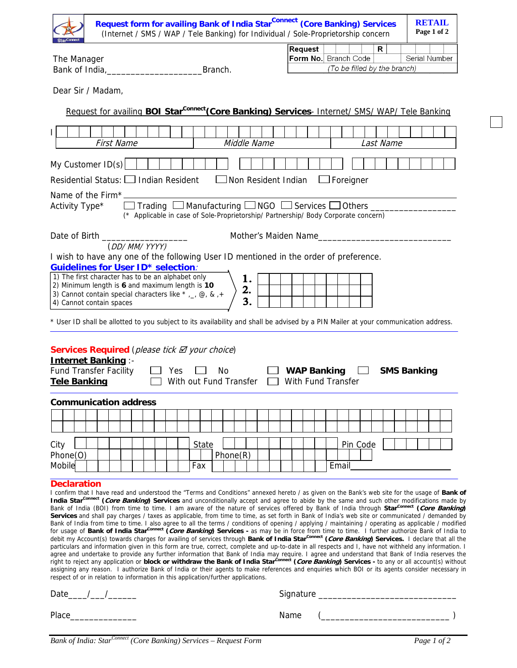| Request form for availing Bank of India Star <sup>Connect</sup> (Core Banking) Services<br>(Internet / SMS / WAP / Tele Banking) for Individual / Sole-Proprietorship concern                                                                                                                                                                                                                                                                                                                                                                                                                                                                                                                                                                                                                                                                                                                                                                                                                                                                                                                                                                                                                                                                                                                                                                                                                                                                                                                                                                                                                                                                                                                                                                                                                                                          | <b>RETAIL</b><br>Page 1 of 2                                                          |
|----------------------------------------------------------------------------------------------------------------------------------------------------------------------------------------------------------------------------------------------------------------------------------------------------------------------------------------------------------------------------------------------------------------------------------------------------------------------------------------------------------------------------------------------------------------------------------------------------------------------------------------------------------------------------------------------------------------------------------------------------------------------------------------------------------------------------------------------------------------------------------------------------------------------------------------------------------------------------------------------------------------------------------------------------------------------------------------------------------------------------------------------------------------------------------------------------------------------------------------------------------------------------------------------------------------------------------------------------------------------------------------------------------------------------------------------------------------------------------------------------------------------------------------------------------------------------------------------------------------------------------------------------------------------------------------------------------------------------------------------------------------------------------------------------------------------------------------|---------------------------------------------------------------------------------------|
| The Manager<br>Branch.                                                                                                                                                                                                                                                                                                                                                                                                                                                                                                                                                                                                                                                                                                                                                                                                                                                                                                                                                                                                                                                                                                                                                                                                                                                                                                                                                                                                                                                                                                                                                                                                                                                                                                                                                                                                                 | Request<br>R<br>Form No. Branch Code<br>Serial Number<br>(To be filled by the branch) |
| Dear Sir / Madam,                                                                                                                                                                                                                                                                                                                                                                                                                                                                                                                                                                                                                                                                                                                                                                                                                                                                                                                                                                                                                                                                                                                                                                                                                                                                                                                                                                                                                                                                                                                                                                                                                                                                                                                                                                                                                      |                                                                                       |
|                                                                                                                                                                                                                                                                                                                                                                                                                                                                                                                                                                                                                                                                                                                                                                                                                                                                                                                                                                                                                                                                                                                                                                                                                                                                                                                                                                                                                                                                                                                                                                                                                                                                                                                                                                                                                                        |                                                                                       |
| Request for availing BOI Star <sup>Connect</sup> (Core Banking) Services- Internet/ SMS/ WAP/ Tele Banking                                                                                                                                                                                                                                                                                                                                                                                                                                                                                                                                                                                                                                                                                                                                                                                                                                                                                                                                                                                                                                                                                                                                                                                                                                                                                                                                                                                                                                                                                                                                                                                                                                                                                                                             |                                                                                       |
| L<br><b>First Name</b><br>Middle Name                                                                                                                                                                                                                                                                                                                                                                                                                                                                                                                                                                                                                                                                                                                                                                                                                                                                                                                                                                                                                                                                                                                                                                                                                                                                                                                                                                                                                                                                                                                                                                                                                                                                                                                                                                                                  | Last Name                                                                             |
| My Customer $ID(s)$                                                                                                                                                                                                                                                                                                                                                                                                                                                                                                                                                                                                                                                                                                                                                                                                                                                                                                                                                                                                                                                                                                                                                                                                                                                                                                                                                                                                                                                                                                                                                                                                                                                                                                                                                                                                                    |                                                                                       |
| Residential Status: $\Box$ Indian Resident $\Box$ Non Resident Indian                                                                                                                                                                                                                                                                                                                                                                                                                                                                                                                                                                                                                                                                                                                                                                                                                                                                                                                                                                                                                                                                                                                                                                                                                                                                                                                                                                                                                                                                                                                                                                                                                                                                                                                                                                  | $\Box$ Foreigner                                                                      |
| Name of the Firm*_<br>$\Box$ Trading $\Box$ Manufacturing $\Box$ NGO $\Box$ Services $\Box$ Others $\Box$<br>Activity Type*<br>(* Applicable in case of Sole-Proprietorship/ Partnership/ Body Corporate concern)                                                                                                                                                                                                                                                                                                                                                                                                                                                                                                                                                                                                                                                                                                                                                                                                                                                                                                                                                                                                                                                                                                                                                                                                                                                                                                                                                                                                                                                                                                                                                                                                                      |                                                                                       |
| Date of Birth ____________________                                                                                                                                                                                                                                                                                                                                                                                                                                                                                                                                                                                                                                                                                                                                                                                                                                                                                                                                                                                                                                                                                                                                                                                                                                                                                                                                                                                                                                                                                                                                                                                                                                                                                                                                                                                                     | Mother's Maiden Name                                                                  |
| (DD/MM/YYYY)<br>I wish to have any one of the following User ID mentioned in the order of preference.                                                                                                                                                                                                                                                                                                                                                                                                                                                                                                                                                                                                                                                                                                                                                                                                                                                                                                                                                                                                                                                                                                                                                                                                                                                                                                                                                                                                                                                                                                                                                                                                                                                                                                                                  |                                                                                       |
| <b>Guidelines for User ID* selection:</b><br>1) The first character has to be an alphabet only                                                                                                                                                                                                                                                                                                                                                                                                                                                                                                                                                                                                                                                                                                                                                                                                                                                                                                                                                                                                                                                                                                                                                                                                                                                                                                                                                                                                                                                                                                                                                                                                                                                                                                                                         |                                                                                       |
| 1.<br>2) Minimum length is 6 and maximum length is 10<br>2.<br>3) Cannot contain special characters like $*_{,-}$ , @, &, +<br>3.<br>4) Cannot contain spaces                                                                                                                                                                                                                                                                                                                                                                                                                                                                                                                                                                                                                                                                                                                                                                                                                                                                                                                                                                                                                                                                                                                                                                                                                                                                                                                                                                                                                                                                                                                                                                                                                                                                          |                                                                                       |
| * User ID shall be allotted to you subject to its availability and shall be advised by a PIN Mailer at your communication address.                                                                                                                                                                                                                                                                                                                                                                                                                                                                                                                                                                                                                                                                                                                                                                                                                                                                                                                                                                                                                                                                                                                                                                                                                                                                                                                                                                                                                                                                                                                                                                                                                                                                                                     |                                                                                       |
| Services Required (please tick ⊠ your choice)<br><b>Internet Banking:-</b><br><b>Fund Transfer Facility</b><br>No<br>Yes<br><b>Tele Banking</b><br>With out Fund Transfer                                                                                                                                                                                                                                                                                                                                                                                                                                                                                                                                                                                                                                                                                                                                                                                                                                                                                                                                                                                                                                                                                                                                                                                                                                                                                                                                                                                                                                                                                                                                                                                                                                                              | <b>WAP Banking</b><br><b>SMS Banking</b><br><b>Contract</b><br>With Fund Transfer     |
| <b>Communication address</b>                                                                                                                                                                                                                                                                                                                                                                                                                                                                                                                                                                                                                                                                                                                                                                                                                                                                                                                                                                                                                                                                                                                                                                                                                                                                                                                                                                                                                                                                                                                                                                                                                                                                                                                                                                                                           |                                                                                       |
|                                                                                                                                                                                                                                                                                                                                                                                                                                                                                                                                                                                                                                                                                                                                                                                                                                                                                                                                                                                                                                                                                                                                                                                                                                                                                                                                                                                                                                                                                                                                                                                                                                                                                                                                                                                                                                        |                                                                                       |
|                                                                                                                                                                                                                                                                                                                                                                                                                                                                                                                                                                                                                                                                                                                                                                                                                                                                                                                                                                                                                                                                                                                                                                                                                                                                                                                                                                                                                                                                                                                                                                                                                                                                                                                                                                                                                                        |                                                                                       |
| City<br>State<br>Phone(R)<br>Phone(O)<br>Mobile<br>Fax                                                                                                                                                                                                                                                                                                                                                                                                                                                                                                                                                                                                                                                                                                                                                                                                                                                                                                                                                                                                                                                                                                                                                                                                                                                                                                                                                                                                                                                                                                                                                                                                                                                                                                                                                                                 | Pin Code<br>Email                                                                     |
|                                                                                                                                                                                                                                                                                                                                                                                                                                                                                                                                                                                                                                                                                                                                                                                                                                                                                                                                                                                                                                                                                                                                                                                                                                                                                                                                                                                                                                                                                                                                                                                                                                                                                                                                                                                                                                        |                                                                                       |
| <b>Declaration</b><br>I confirm that I have read and understood the "Terms and Conditions" annexed hereto / as given on the Bank's web site for the usage of Bank of<br>India Star <sup>connect</sup> (Core Banking) Services and unconditionally accept and agree to abide by the same and such other modifications made by<br>Bank of India (BOI) from time to time. I am aware of the nature of services offered by Bank of India through Star <sup>connect</sup> (Core Banking)<br>Services and shall pay charges / taxes as applicable, from time to time, as set forth in Bank of India's web site or communicated / demanded by<br>Bank of India from time to time. I also agree to all the terms / conditions of opening / applying / maintaining / operating as applicable / modified<br>for usage of Bank of India Star <sup>connect</sup> (Core Banking) Services - as may be in force from time to time. I further authorize Bank of India to<br>debit my Account(s) towards charges for availing of services through Bank of India Star <sup>connect</sup> (Core Banking) Services. I declare that all the<br>particulars and information given in this form are true, correct, complete and up-to-date in all respects and I, have not withheld any information. I<br>agree and undertake to provide any further information that Bank of India may require. I agree and understand that Bank of India reserves the<br>right to reject any application or block or withdraw the Bank of India Star <sup>connect</sup> (Core Banking) Services - to any or all account(s) without<br>assigning any reason. I authorize Bank of India or their agents to make references and enguiries which BOI or its agents consider necessary in<br>respect of or in relation to information in this application/further applications. |                                                                                       |
| Date $\_\_\_\_\_\_\_\_\_\_\_\_\_\_\_\_\_\_$                                                                                                                                                                                                                                                                                                                                                                                                                                                                                                                                                                                                                                                                                                                                                                                                                                                                                                                                                                                                                                                                                                                                                                                                                                                                                                                                                                                                                                                                                                                                                                                                                                                                                                                                                                                            |                                                                                       |
| Place                                                                                                                                                                                                                                                                                                                                                                                                                                                                                                                                                                                                                                                                                                                                                                                                                                                                                                                                                                                                                                                                                                                                                                                                                                                                                                                                                                                                                                                                                                                                                                                                                                                                                                                                                                                                                                  | Name                                                                                  |

٦